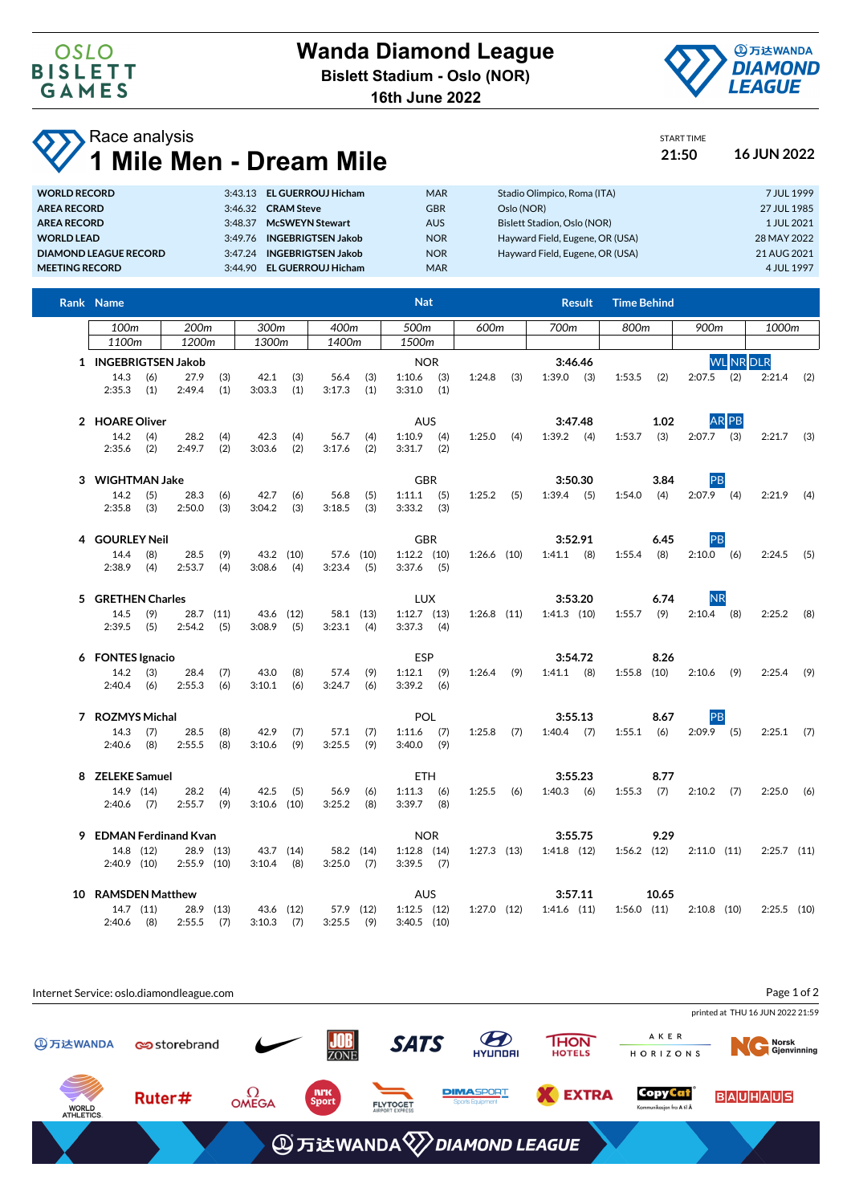

**16th June 2022**

## **Race analysis 1 Mile Men - Dream Mile 21:50 16 JUN 2022**

START TIME

| <b>WORLD RECORD</b>   | 3:43.13 EL GUERROUJ Hicham          | <b>MAR</b> | Stadio Olimpico, Roma (ITA)     | 7 JUL 1999  |
|-----------------------|-------------------------------------|------------|---------------------------------|-------------|
| <b>AREA RECORD</b>    | 3:46.32 CRAM Steve                  | <b>GBR</b> | Oslo (NOR)                      | 27 JUL 1985 |
| <b>AREA RECORD</b>    | <b>McSWEYN Stewart</b><br>3:48.37   | <b>AUS</b> | Bislett Stadion, Oslo (NOR)     | 1 JUL 2021  |
| <b>WORLD LEAD</b>     | <b>INGEBRIGTSEN Jakob</b><br>3.4976 | <b>NOR</b> | Hayward Field, Eugene, OR (USA) | 28 MAY 2022 |
| DIAMOND LEAGUE RECORD | 3:47.24 INGEBRIGTSEN Jakob          | <b>NOR</b> | Hayward Field, Eugene, OR (USA) | 21 AUG 2021 |
| <b>MEETING RECORD</b> | <b>EL GUERROUJ Hicham</b><br>3.4490 | <b>MAR</b> |                                 | 4 JUL 1997  |

| Rank Name                  |            |                  |                  |                           |            |                |                  | <b>Nat</b>                       |            |                 |      | <b>Result</b>                   | <b>Time Behind</b> |                  |               |       |               |     |
|----------------------------|------------|------------------|------------------|---------------------------|------------|----------------|------------------|----------------------------------|------------|-----------------|------|---------------------------------|--------------------|------------------|---------------|-------|---------------|-----|
| 100 <sub>m</sub>           |            | 200 <sub>m</sub> |                  | 300m                      |            | 400m<br>500m   |                  |                                  | 600m       |                 | 700m | 800m                            |                    | 900m             |               | 1000m |               |     |
| 1100m                      |            | 1200m            |                  | 1300m                     |            | 1400m          |                  | 1500m                            |            |                 |      |                                 |                    |                  |               |       |               |     |
| 1 INGEBRIGTSEN Jakob       |            |                  |                  |                           |            | <b>NOR</b>     |                  |                                  |            | 3:46.46         |      |                                 |                    | <b>WL</b> NR DLR |               |       |               |     |
| $14.3$ (6)<br>$2:35.3$ (1) |            | 27.9<br>2:49.4   | (3)<br>(1)       | 42.1<br>3:03.3            | (3)<br>(1) | 56.4<br>3:17.3 | (3)<br>(1)       | $1:10.6$ (3)<br>$3:31.0$ (1)     |            | 1:24.8          | (3)  | $1:39.0$ (3)                    | 1:53.5             | (2)              | $2:07.5$ (2)  |       | $2:21.4$ (2)  |     |
| 2 HOARE Oliver             |            |                  |                  | <b>AUS</b>                |            |                |                  |                                  | 3:47.48    |                 | 1.02 |                                 | AR PB              |                  |               |       |               |     |
| 14.2<br>2:35.6             | (4)<br>(2) | 28.2<br>2:49.7   | (4)<br>(2)       | 42.3<br>3:03.6            | (4)<br>(2) | 56.7<br>3:17.6 | (4)<br>(2)       | $1:10.9$ (4)<br>$3:31.7$ (2)     |            | 1:25.0          | (4)  | $1:39.2$ (4)                    | 1:53.7             | (3)              | $2:07.7$ (3)  |       | $2:21.7$ (3)  |     |
| 3 WIGHTMAN Jake            |            |                  |                  | <b>GBR</b>                |            |                |                  |                                  | 3:50.30    |                 | 3.84 | PB                              |                    |                  |               |       |               |     |
| 14.2<br>2:35.8             | (5)<br>(3) | 28.3<br>2:50.0   | (6)<br>(3)       | 42.7<br>3:04.2            | (6)<br>(3) | 56.8<br>3:18.5 | (5)<br>(3)       | $1:11.1$ (5)<br>$3:33.2$ (3)     |            | $1:25.2$ (5)    |      | $1:39.4$ (5)                    | 1:54.0             | (4)              | $2:07.9$ (4)  |       | 2:21.9        | (4) |
| 4 GOURLEY Neil             |            |                  |                  |                           |            |                |                  | <b>GBR</b>                       |            |                 |      | 3:52.91                         |                    | 6.45             | PB            |       |               |     |
| 14.4<br>2:38.9             | (8)<br>(4) | 28.5<br>2:53.7   | (9)<br>(4)       | 43.2 (10)<br>3:08.6       | (4)        | 3:23.4         | 57.6 (10)<br>(5) | $1:12.2$ $(10)$<br>$3:37.6$ (5)  |            | $1:26.6$ (10)   |      | $1:41.1$ (8)                    | 1:55.4             | (8)              | $2:10.0$ (6)  |       | 2:24.5        | (5) |
| 5 GRETHEN Charles          |            |                  |                  |                           |            |                |                  | <b>LUX</b>                       |            |                 |      | 3:53.20                         |                    | 6.74             | <b>NR</b>     |       |               |     |
| 14.5<br>$2:39.5$ (5)       | (9)        | 2:54.2           | 28.7 (11)<br>(5) | 43.6 (12)<br>3:08.9       | (5)        | $3:23.1$ (4)   | 58.1 (13)        | $1:12.7$ $(13)$<br>$3:37.3$ (4)  |            | $1:26.8$ (11)   |      | $1:41.3$ (10)                   | 1:55.7             | (9)              | $2:10.4$ (8)  |       | 2:25.2        | (8) |
| 6 FONTES Ignacio           |            |                  |                  |                           |            |                |                  | ESP                              |            |                 |      | 3:54.72                         |                    | 8.26             |               |       |               |     |
| 14.2<br>$2:40.4$ (6)       | (3)        | 28.4<br>2:55.3   | (7)<br>(6)       | 43.0<br>3:10.1            | (8)<br>(6) | 57.4<br>3:24.7 | (9)<br>(6)       | $1:12.1$ (9)<br>$3:39.2$ (6)     |            | $1:26.4$ (9)    |      | $1:41.1$ (8)                    | $1:55.8$ (10)      |                  | $2:10.6$ (9)  |       | $2:25.4$ (9)  |     |
| 7 ROZMYS Michal            |            |                  |                  |                           |            |                |                  | <b>POL</b>                       |            |                 |      | 3:55.13                         |                    | 8.67             | PB            |       |               |     |
| 14.3<br>2:40.6             | (7)<br>(8) | 28.5<br>2:55.5   | (8)<br>(8)       | 42.9<br>3:10.6            | (7)<br>(9) | 57.1<br>3:25.5 | (7)<br>(9)       | $1:11.6$ (7)<br>$3:40.0$ (9)     |            | $1:25.8$ (7)    |      | $1:40.4$ (7)                    | 1:55.1             | (6)              | $2:09.9$ (5)  |       | $2:25.1$ (7)  |     |
| 8 ZELEKE Samuel            |            |                  |                  |                           |            |                |                  | <b>ETH</b>                       |            |                 |      | 3:55.23                         |                    | 8.77             |               |       |               |     |
| $2:40.6$ (7)               | 14.9 (14)  | 28.2<br>2:55.7   | (4)<br>(9)       | 42.5<br>$3:10.6$ (10)     | (5)        | 56.9<br>3:25.2 | (6)<br>(8)       | $1:11.3$ (6)<br>$3:39.7$ (8)     |            | $1:25.5$ (6)    |      | $1:40.3$ (6)                    | 1:55.3             | (7)              | $2:10.2$ (7)  |       | 2:25.0        | (6) |
| 9 EDMAN Ferdinand Kvan     |            |                  |                  |                           |            |                |                  |                                  | <b>NOR</b> |                 |      | 3:55.75                         |                    | 9.29             |               |       |               |     |
| $2:40.9$ (10)              | 14.8 (12)  | $2:55.9$ (10)    | 28.9 (13)        | 43.7 (14)<br>3:10.4       | (8)        | $3:25.0$ (7)   | 58.2 (14)        | $1:12.8$ $(14)$<br>$3:39.5$ (7)  |            |                 |      | $1:27.3$ $(13)$ $1:41.8$ $(12)$ | $1:56.2$ (12)      |                  | 2:11.0 (11)   |       | $2:25.7$ (11) |     |
| 10 RAMSDEN Matthew         |            |                  |                  |                           |            |                |                  | <b>AUS</b>                       |            |                 |      | 3:57.11                         |                    | 10.65            |               |       |               |     |
| $2:40.6$ (8)               | 14.7 (11)  | $2:55.5$ (7)     | 28.9 (13)        | 43.6 (12)<br>$3:10.3$ (7) |            | $3:25.5$ (9)   | 57.9 (12)        | $1:12.5$ $(12)$<br>$3:40.5$ (10) |            | $1:27.0$ $(12)$ |      | $1:41.6$ $(11)$                 | $1:56.0$ $(11)$    |                  | $2:10.8$ (10) |       | $2:25.5$ (10) |     |